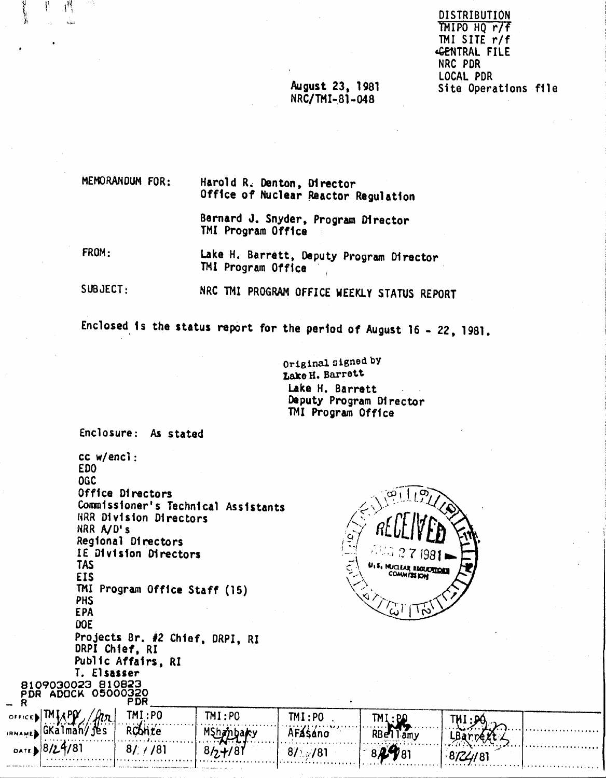**DISTRIBUTION** TMIPO HQ r7f TMI SITE r/f GENTRAL FILE NRC PDR LOCAL PDR Site Operations file

### August 23, 1981 NRC/TMI-81-048

MEMORANDUM FOR: Harold R. Denton, Director Office of Nuclear Reactor Regulation

> Bernard J. Snyder, Program Director TMI Program Office

FROM: Lake H. Barrett, Deputy Program Director TMI Program Office

 $SUBJECT:$ NRC TMI PROGRAM OFFICE WEEKLY STATUS REPORT

Enclosed is the status report for the period of August 16 - 22, 1981.

Original signed by Lake H. Barrett Lake H. Barrett Deputy Program Director TMI Program Office

Enclosure: As stated

۱<sup>.</sup>

хù.

cc w/encl: ED<sub>0</sub> **OGC** Office Directors Commissioner's Technical Assistants NRR Division Directors NRR A/D's Regional Directors IE Division Directors **TAS** EIS TMI Program Office Staff (15) PHS **EPA** DOE Projects Br. #2 Chief, DRPI, RI DRPI Chief, RI Public Affairs, RI T. Elsasser 8109030023 810823 PDR ADOCK 05000320



| $\overline{\phantom{a}}$ |                                    | P DR    |          |                                             |            |   |   |
|--------------------------|------------------------------------|---------|----------|---------------------------------------------|------------|---|---|
| OFFICE.                  | <b>TMT</b><br>$\cdot$ DM $\cdot$   | TMI:PO  | TM:PO    | TMI:PO                                      | TM I       |   |   |
| <b>IRNAME</b>            | $l$ GKalma $\epsilon$<br>.jes<br>. | nelle V | $\cdots$ | . <b>. .</b><br>********************<br>AF≰ | DD.<br>amv |   | . |
| DATE 10/                 | 8124181<br>.                       | '8      |          | /81<br>87                                   | .<br>781   |   | . |
|                          |                                    |         |          |                                             |            | . | . |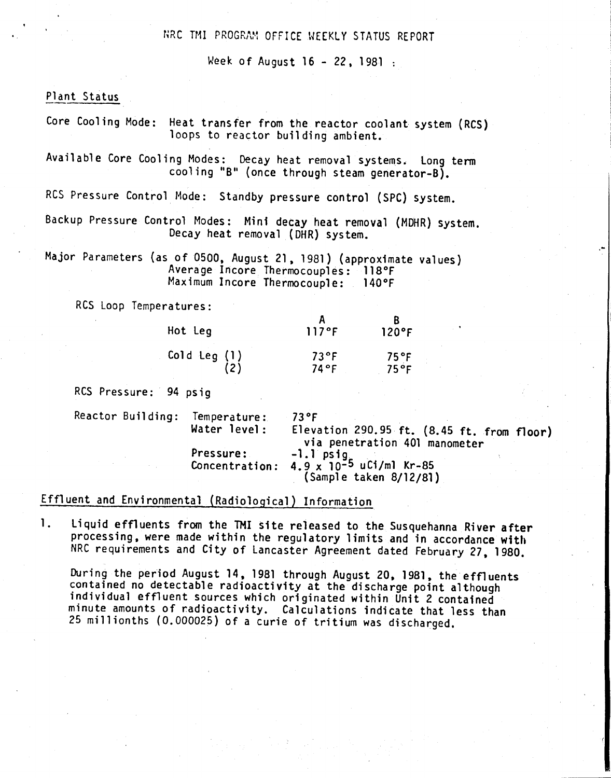## NRC TMI PROGRAM OFFICE MEEKLY STATUS REPORT

Week of August 16 - 22, 1981 :

Plant Status

Core Cooling Mode: Heat transfer from the reactor coolant system (RCS) loops to reactor building ambient.

Available Core Cooling Modes: Decay heat removal systems. Long term cooling "B" (once through steam generator-B).

RCS Pressure Control Mode: Standby pressure control (SPC) system.

Backup Pressure Control Modes: Mini decay heat removal (MDHR) system. Decay heat removal (DHR) system.

Major Parameters (as of 0500, August 21, 1981) (approximate values) Average Incore Thermocouples: 118°F<br>Maximum Incore Thermocouple: 140°F Maximum Incore Thermocouple:

RCS Loop Temperatures:

| Hot Leg      | 117°F          | 120°F   |
|--------------|----------------|---------|
| Cold Leg (1) | $73^{\circ}$ F | $75°$ F |
| (2)          | 74°F           | 75°F    |

RCS Pressure: 94 psig

Reactor Building: Temperature: 73°F Elevation 290.95 ft. (8.45 ft. from floor) via penetration 401 manometer Pressure: -1.1 psig . Concentration: 4.9 x 10-5 uCi/m1 Kr-85 (Sample taken 8/12/81)

.-

# Effluent and Environmental (Radiological) Information

1. Liquid effluents from the TMI site released to the Susquehanna River after processing, were made within the regulatory limits and in accordance with NRC requirements and City of Lancaster Agreement dated February 27, 1980.

During the period August 14, 1981 through August 20. 1981, the effluents contained no detectable radioactivity at the discharge point although individual effiuent sources which originated within Unit 2 contained minute amounts of radioactivity. Calculations indicate that less than 25 millionths (0.000025) of a curie of tritium was discharged.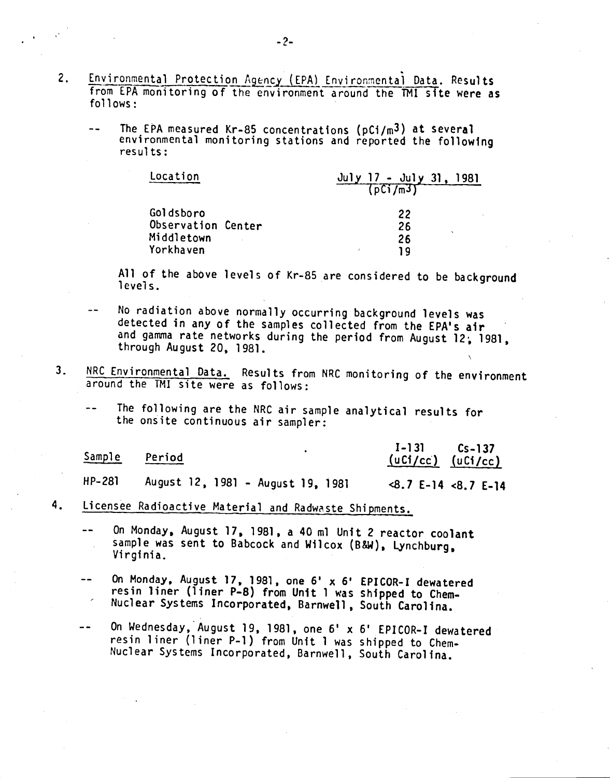- 2. Environmental Protection Agency (EPA) Environmental Data. Results from EPA monitoring of the environment around the TMl site were as follows:
	- $\overline{a}$ The EPA measured Kr-85 concentrations (pCi/m3) at several environmental monitoring stations and reported the following results:

| Location           | July $17 -$ July 31,<br>1981 |
|--------------------|------------------------------|
|                    | (DCI/mJ)                     |
| Goldsboro          | 22                           |
| Observation Center | 26                           |
| Middletown         | 26                           |
| Yorkhaven          | 1 Q                          |

All of the above levels of Kr-85 are considered to be background levels.

- No radiation above normally occurring background levels was detected in any of the samples collected from the EPA's air and gamma rate networks during the period from August 12; 1981, through August 20, 1981.
- 3. NRC Environmental Data. Results from NRC monitoring of the environment around the TM! site were as follows:
	- The following are the NRC air sample analytical results for the onsite continuous air sampler:

| <u>Sample</u> | Period                            | $I-131$ $Cs-137$<br>$(uC1/cc)$ $(uC1/cc)$                                                                                                                                                                                                                                                                                                             |  |
|---------------|-----------------------------------|-------------------------------------------------------------------------------------------------------------------------------------------------------------------------------------------------------------------------------------------------------------------------------------------------------------------------------------------------------|--|
| HP-281        | August 12, 1981 - August 19, 1981 | $\langle 8.7 \t{E} - 14 \t{S} \cdot 7 \t{E} - 14 \t{S} \cdot 7 \t{S} \cdot 7 \t{S} \cdot 7 \t{S} \cdot 7 \t{S} \cdot 7 \t{S} \cdot 7 \t{S} \cdot 7 \t{S} \cdot 7 \t{S} \cdot 7 \t{S} \cdot 7 \t{S} \cdot 7 \t{S} \cdot 7 \t{S} \cdot 7 \t{S} \cdot 7 \t{S} \cdot 7 \t{S} \cdot 7 \t{S} \cdot 7 \t{S} \cdot 7 \t{S} \cdot 7 \t{S} \cdot 7 \t{S} \cdot$ |  |

4. Licensee Radioactive Material and Radwaste Shipments.

On Monday, August 17, 1981, a 40 ml Unit 2 reactor coolant sample was sent to Babcock and Wilcox (B&W). Lynchburg, Virginia.

- On Monday, August 17, 1981. one 6' x 6' EPICOR-I dewatered resin liner (liner P-8) from Unit 1 was shipped to Chem-Nuclear Systems Incorporated, Barnwell. South Carolina.
- On Wednesday,'August 19. 1981, one 6' x 6' EPICOR-I dewatered  $\rightarrow$   $\rightarrow$ resin liner (liner P-l) from Unit 1 was shipped to Chem-Nuclear Systems Incorporated. Barnwell, South Carolina.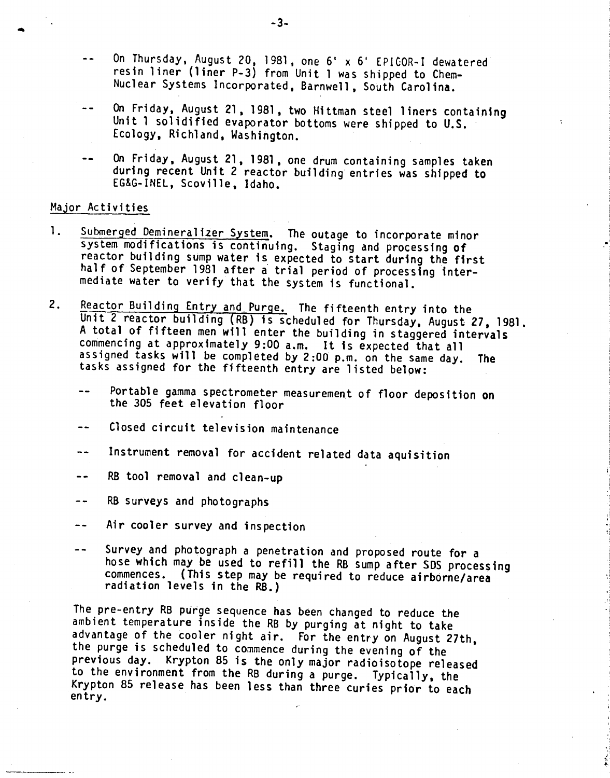- On Thursday, August 20, 1981, one 6' x 6' EPICOR-I dewatered resin liner (liner P-3) from Unit 1 was shipped to Chem-Nuclear Systems Incorporated, Barnwell, South Carolina.
- On Friday, August 21, 1981, two Hittman steel liners containing  $-1$ Unit 1 solidified evaporator bottoms were shipped to U.S. Ecology, Richland, Washington.
- On Friday, August 21, 1981, one drum containing samples taken during recent Unit 2 reactor building entries was shipped to EG&G-INEL, Scoville, Idaho.

#### Major Activities

- 1. Submerged Demineralizer System. The outage to incorporate minor system modifications is continuing. Staging and processing of reactor building sump water is expected to start during the first half of September 1981 after a trial period of processing intermediate water to verify that the System is functional.
- 2. Reactor Building Entry and Purge. The fifteenth entry into the Unit 2 reactor building (RB) is scheduled for Thursday, August 27,1981. A total of fifteen men will enter the building in staggered intervals commencing at approximately 9:00 a.m. It is expected that all assigned tasks will be completed by 2:00 p.m. on the same day. The tasks assigned for the fifteenth entry are listed below:
	- Portable gamma spectrometer measurement of floor deposition on  $$ the 305 feet elevation floor
	- Closed circuit television maintenance
	- Instrument removal for accident related data aquisition
	- RB tool removal and clean-up  $-$
	- RB surveys and photographs  $- -$
	- Air cooler survey and inspection  $- -$
	- Survey and photograph a penetration and proposed route for a  $\sim$ hose which may be used to refill the RB sump after SOS processing commences. (This step may be required to reduce airborne/area radiation levels in the RB.)

The pre-entry RB purge sequence has been changed to reduce the ambient temperature inside the RB by purging at night to take advantage of the cooler night air. For the entry on August 27th, the purge is scheduled to commence during the evening of the previous day. Krypton 85 is the only major radioisotope released to the environment from the RB during a purge. Typically, the Krypton 85 release has been less than three curies prior to each entry.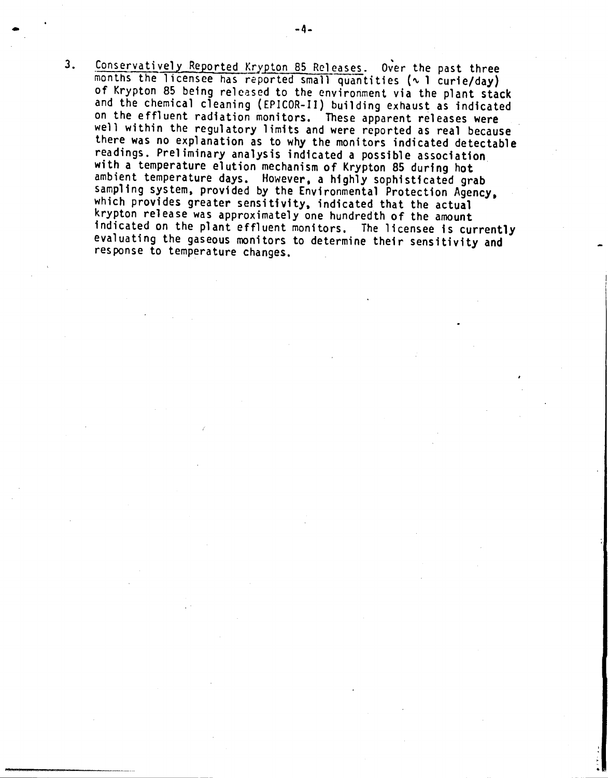3. Conservatively Reported Krypton 85 Releases. Over the past three months the licensee has reported small quantities ( $\sim$  1 curie/day) of Krypton 85 being released to the environment via the plant stack and the chemical cleaning (EPICOR-II) building exhaust as indicated on the effluent radiation monitors. These apparent releases were well within the regulatory limits and were reported as real because there was no explanation as to why the monitors indicated detectable readings. Prel iminary analysis indicated a possible association with a temperature elution mechanism of Krypton 85 during hot ambient temperature days. However. a highly sophisticated grab sampling system. provided by the Environmental Protection Agency. which provides greater sensitivity, indicated that the actual krypton release was approximately one hundredth of the amount indicated on the plant effluent monitors. The licensee is currently evaluating the gaseous monitors to determine their sensitivity and response to temperature changes.

•